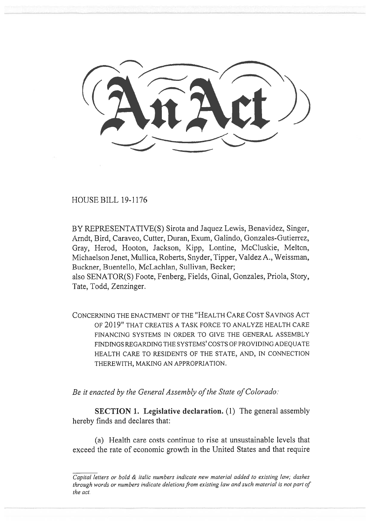HOUSE BILL 19-1176

BY REPRESENTATIVE(S) Sirota and Jaquez Lewis, Benavidez, Singer, Arndt, Bird, Caraveo, Cutter, Duran, Exum, Galindo, Gonzales-Gutierrez, Gray, Herod, Hooton, Jackson, Kipp, Lontine, McCluskie, Melton, Michaelson Jenet, Mullica, Roberts, Snyder, Tipper, Valdez A., Weissman, Buckner, Buentello, McLachlan, Sullivan, Becker; also SENATOR(S) Foote, Fenberg, Fields, Ginal, Gonzales, Priola, Story,

Tate, Todd, Zenzinger.

CONCERNING THE ENACTMENT OF THE "HEALTH CARE COST SAVINGS ACT OF 2019" THAT CREATES A TASK FORCE TO ANALYZE HEALTH CARE FINANCING SYSTEMS IN ORDER TO GIVE THE GENERAL ASSEMBLY FINDINGS REGARDING THE SYSTEMS' COSTS OF PROVIDING ADEQUATE HEALTH CARE TO RESIDENTS OF THE STATE, AND, IN CONNECTION THEREWITH, MAKING AN APPROPRIATION.

*Be it enacted by the General Assembly of the State of Colorado:* 

**SECTION 1. Legislative declaration.** (1) The general assembly hereby finds and declares that:

(a) Health care costs continue to rise at unsustainable levels that exceed the rate of economic growth in the United States and that require

*Capital letters or bold & italic numbers indicate new material added to existing law; dashes through words or numbers indicate deletions from existing law and such material is not part of the act.*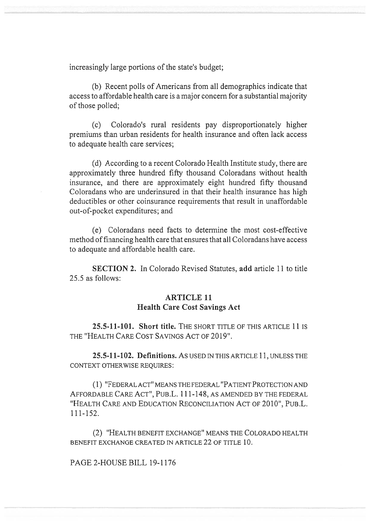increasingly large portions of the state's budget;

(b) Recent polls of Americans from all demographics indicate that access to affordable health care is a major concern for a substantial majority of those polled;

(c) Colorado's rural residents pay disproportionately higher premiums than urban residents for health insurance and often lack access to adequate health care services;

(d) According to a recent Colorado Health Institute study, there are approximately three hundred fifty thousand Coloradans without health insurance, and there are approximately eight hundred fifty thousand Coloradans who are underinsured in that their health insurance has high deductibles or other coinsurance requirements that result in unaffordable out-of-pocket expenditures; and

(e) Coloradans need facts to determine the most cost-effective method of financing health care that ensures that all Coloradans have access to adequate and affordable health care.

**SECTION 2.** In Colorado Revised Statutes, **add** article 11 to title 25.5 as follows:

## **ARTICLE 11 Health Care Cost Savings Act**

**25.5-11-101. Short title.** THE SHORT TITLE OF THIS ARTICLE 11 IS THE "HEALTH CARE COST SAVINGS ACT OF 2019".

**25.5-11-102. Definitions. AS** USED IN THIS ARTICLE 11, UNLESS THE CONTEXT OTHERWISE REQUIRES:

(1) "FEDERAL ACT" MEANS THE FEDERAL "PATIENT PROTECTION AND AFFORDABLE CARE ACT", PUB.L. 111-148, AS AMENDED BY THE FEDERAL "HEALTH CARE AND EDUCATION RECONCILIATION ACT OF 2010", PuB.L. 111-152.

(2) "HEALTH BENEFIT EXCHANGE" MEANS THE COLORADO HEALTH BENEFIT EXCHANGE CREATED IN ARTICLE 22 OF TITLE 10.

PAGE 2-HOUSE BILL 19-1176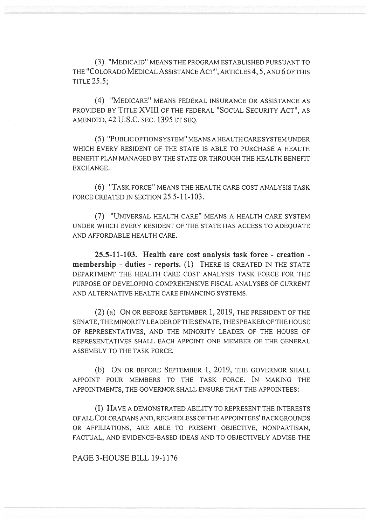(3) "MEDICAID" MEANS THE PROGRAM ESTABLISHED PURSUANT TO THE "COLORADO MEDICAL ASSISTANCE ACT", ARTICLES 4, 5, AND 6 OF THIS TITLE 25.5;

(4) "MEDICARE" MEANS FEDERAL INSURANCE OR ASSISTANCE AS PROVIDED BY TITLE XVIII OF THE FEDERAL "SOCIAL SECURITY ACT", AS AMENDED, 42 U.S.C. SEC. 1395 ET SEQ.

(5) "PUBLIC OPTION SYSTEM" MEANS A HEALTH CARE SYSTEM UNDER WHICH EVERY RESIDENT OF THE STATE IS ABLE TO PURCHASE A HEALTH BENEFIT PLAN MANAGED BY THE STATE OR THROUGH THE HEALTH BENEFIT EXCHANGE.

(6) "TASK FORCE" MEANS THE HEALTH CARE COST ANALYSIS TASK FORCE CREATED IN SECTION 25.5-11-103.

(7) "UNIVERSAL HEALTH CARE" MEANS A HEALTH CARE SYSTEM UNDER WHICH EVERY RESIDENT OF THE STATE HAS ACCESS TO ADEQUATE AND AFFORDABLE HEALTH CARE.

**25.5-11-103. Health care cost analysis task force - creation membership - duties - reports.** ( I) THERE IS CREATED IN THE STATE DEPARTMENT THE HEALTH CARE COST ANALYSIS TASK FORCE FOR THE PURPOSE OF DEVELOPING COMPREHENSIVE FISCAL ANALYSES OF CURRENT AND ALTERNATIVE HEALTH CARE FINANCING SYSTEMS.

(2) (a) ON OR BEFORE SEPTEMBER 1, 2019, THE PRESIDENT OF THE SENATE, THE MINORITY LEADER OF THE SENATE, THE SPEAKER OF THE HOUSE OF REPRESENTATIVES, AND THE MINORITY LEADER OF THE HOUSE OF REPRESENTATIVES SHALL EACH APPOINT ONE MEMBER OF THE GENERAL ASSEMBLY TO THE TASK FORCE.

(b) ON OR BEFORE SEPTEMBER 1, 2019, THE GOVERNOR SHALL APPOINT FOUR MEMBERS TO THE TASK FORCE. IN MAKING THE APPOINTMENTS, THE GOVERNOR SHALL ENSURE THAT THE APPOINTEES:

(I) HAVE A DEMONSTRATED ABILITY TO REPRESENT THE INTERESTS OF ALL COLORADANS AND, REGARDLESS OF THE APPOINTEES' BACKGROUNDS OR AFFILIATIONS, ARE ABLE TO PRESENT OBJECTIVE, NONPARTISAN, FACTUAL, AND EVIDENCE-BASED IDEAS AND TO OBJECTIVELY ADVISE THE

PAGE 3-HOUSE BILL 19-1176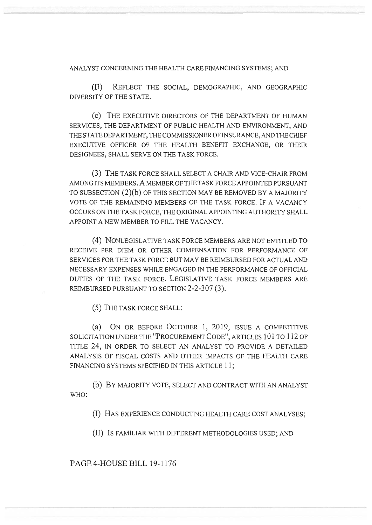ANALYST CONCERNING THE HEALTH CARE FINANCING SYSTEMS; AND

(II) REFLECT THE SOCIAL, DEMOGRAPHIC, AND GEOGRAPHIC DIVERSITY OF THE STATE.

(C) THE EXECUTIVE DIRECTORS OF THE DEPARTMENT OF HUMAN SERVICES, THE DEPARTMENT OF PUBLIC HEALTH AND ENVIRONMENT, AND THE STATE DEPARTMENT, THE COMMISSIONER OF INSURANCE, AND THE CHIEF EXECUTIVE OFFICER OF THE HEALTH BENEFIT EXCHANGE, OR THEIR DESIGNEES, SHALL SERVE ON THE TASK FORCE.

(3) THE TASK FORCE SHALL SELECT A CHAIR AND VICE-CHAIR FROM AMONG ITS MEMBERS. A MEMBER OF THE TASK FORCE APPOINTED PURSUANT TO SUBSECTION (2)(b) OF THIS SECTION MAY BE REMOVED BY A MAJORITY VOTE OF THE REMAINING MEMBERS OF THE TASK FORCE. IF A VACANCY OCCURS ON THE TASK FORCE, THE ORIGINAL APPOINTING AUTHORITY SHALL APPOINT A NEW MEMBER TO FILL THE VACANCY.

(4) NONLEGISLATIVE TASK FORCE MEMBERS ARE NOT ENTITLED TO RECEIVE PER DIEM OR OTHER COMPENSATION FOR PERFORMANCE OF SERVICES FOR THE TASK FORCE BUT MAY BE REIMBURSED FOR ACTUAL AND NECESSARY EXPENSES WHILE ENGAGED IN THE PERFORMANCE OF OFFICIAL DUTIES OF THE TASK FORCE. LEGISLATIVE TASK FORCE MEMBERS ARE REIMBURSED PURSUANT TO SECTION 2-2-307 (3).

(5) THE TASK FORCE SHALL:

(a) ON OR BEFORE OCTOBER 1, 2019, ISSUE A COMPETITIVE SOLICITATION UNDER THE "PROCUREMENT CODE", ARTICLES 101 TO 112 OF TITLE 24, IN ORDER TO SELECT AN ANALYST TO PROVIDE A DETAILED ANALYSIS OF FISCAL COSTS AND OTHER IMPACTS OF THE HEALTH CARE FINANCING SYSTEMS SPECIFIED IN THIS ARTICLE 11;

(b) BY MAJORITY VOTE, SELECT AND CONTRACT WITH AN ANALYST WHO:

(I) HAS EXPERIENCE CONDUCTING HEALTH CARE COST ANALYSES;

(II) IS FAMILIAR WITH DIFFERENT METHODOLOGIES USED; AND

PAGE 4-HOUSE BILL 19-1176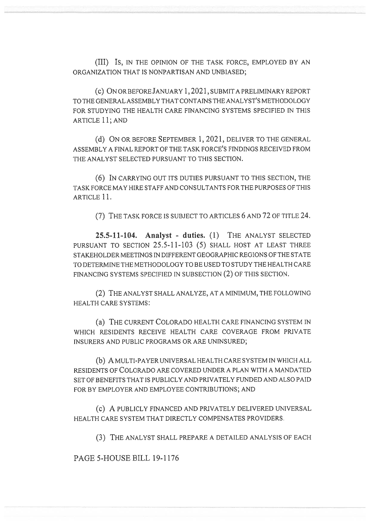(III) IS, IN THE OPINION OF THE TASK FORCE, EMPLOYED BY AN ORGANIZATION THAT IS NONPARTISAN AND UNBIASED;

(c) ON OR BEFORE JANUARY 1, 2021, SUBMIT A PRELIMINARY REPORT TO THE GENERAL ASSEMBLY THAT CONTAINS THE ANALYST'S METHODOLOGY FOR STUDYING THE HEALTH CARE FINANCING SYSTEMS SPECIFIED IN THIS ARTICLE 11; AND

(d) ON OR BEFORE SEPTEMBER 1, 2021, DELIVER TO THE GENERAL ASSEMBLY A FINAL REPORT OF THE TASK FORCE'S FINDINGS RECEIVED FROM THE ANALYST SELECTED PURSUANT TO THIS SECTION.

(6) IN CARRYING OUT ITS DUTIES PURSUANT TO THIS SECTION, THE TASK FORCE MAY HIRE STAFF AND CONSULTANTS FOR THE PURPOSES OF THIS ARTICLE 11.

(7) THE TASK FORCE IS SUBJECT TO ARTICLES 6 AND 72 OF TITLE 24.

**25.5-11-104. Analyst - duties. (1)** THE ANALYST SELECTED PURSUANT TO SECTION 25.5-11-103 (5) SHALL HOST AT LEAST THREE STAKEHOLDER MEETINGS IN DIFFERENT GEOGRAPHIC REGIONS OF THE STATE TO DETERMINE THE METHODOLOGY TO BE USED TO STUDY THE HEALTH CARE FINANCING SYSTEMS SPECIFIED IN SUBSECTION (2) OF THIS SECTION.

(2) THE ANALYST SHALL ANALYZE, AT A MINIMUM, THE FOLLOWING HEALTH CARE SYSTEMS:

(a) THE CURRENT COLORADO HEALTH CARE FINANCING SYSTEM IN WHICH RESIDENTS RECEIVE HEALTH CARE COVERAGE FROM PRIVATE INSURERS AND PUBLIC PROGRAMS OR ARE UNINSURED;

(b) A MULTI-PAYER UNIVERSAL HEALTH CARE SYSTEM IN WHICH ALL RESIDENTS OF COLORADO ARE COVERED UNDER A PLAN WITH A MANDATED SET OF BENEFITS THAT IS PUBLICLY AND PRIVATELY FUNDED AND ALSO PAID FOR BY EMPLOYER AND EMPLOYEE CONTRIBUTIONS; AND

(c) A PUBLICLY FINANCED AND PRIVATELY DELIVERED UNIVERSAL HEALTH CARE SYSTEM THAT DIRECTLY COMPENSATES PROVIDERS.

(3) THE ANALYST SHALL PREPARE A DETAILED ANALYSIS OF EACH

PAGE 5-HOUSE BILL 19-1176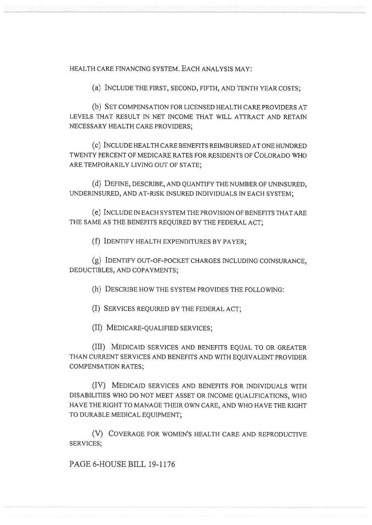HEALTH CARE FINANCING SYSTEM. EACH ANALYSIS MAY:

(a) INCLUDE THE FIRST, SECOND, FIFTH, AND TENTH YEAR COSTS;

(b) SET COMPENSATION FOR LICENSED HEALTH CARE PROVIDERS AT LEVELS THAT RESULT IN NET INCOME THAT WILL ATTRACT AND RETAIN NECESSARY HEALTH CARE PROVIDERS;

(e) INCLUDE HEALTH CARE BENEFITS REIMBURSED AT ONE HUNDRED TWENTY PERCENT OF MEDICARE RATES FOR RESIDENTS OF COLORADO WHO ARE TEMPORARILY LIVING OUT OF STATE;

(d) DEFINE, DESCRIBE, AND QUANTIFY THE NUMBER OF UNINSURED, UNDERINSURED, AND AT-RISK INSURED INDIVIDUALS IN EACH SYSTEM;

(e) INCLUDE IN EACH SYSTEM THE PROVISION OF BENEFITS THAT ARE THE SAME AS THE BENEFITS REQUIRED BY THE FEDERAL ACT;

(f) IDENTIFY HEALTH EXPENDITURES BY PAYER;

(g) IDENTIFY OUT-OF-POCKET CHARGES INCLUDING COINSURANCE, DEDUCTIBLES, AND COPAYMENTS;

(h) DESCRIBE HOW THE SYSTEM PROVIDES THE FOLLOWING:

(I) SERVICES REQUIRED BY THE FEDERAL ACT;

(II) MEDICARE-QUALIFIED SERVICES;

(III) MEDICAID SERVICES AND BENEFITS EQUAL TO OR GREATER THAN CURRENT SERVICES AND BENEFITS AND WITH EQUIVALENT PROVIDER COMPENSATION RATES;

(IV) MEDICAID SERVICES AND BENEFITS FOR INDIVIDUALS WITH DISABILITIES WHO DO NOT MEET ASSET OR INCOME QUALIFICATIONS, WHO HAVE THE RIGHT TO MANAGE THEIR OWN CARE, AND WHO HAVE THE RIGHT TO DURABLE MEDICAL EQUIPMENT;

(V) COVERAGE FOR WOMEN'S HEALTH CARE AND REPRODUCTIVE SERVICES;

PAGE 6-HOUSE BILL 19-1176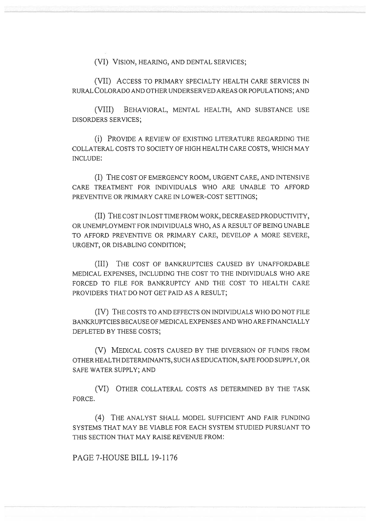(VI) VISION, HEARING, AND DENTAL SERVICES;

(VII) ACCESS TO PRIMARY SPECIALTY HEALTH CARE SERVICES IN RURAL COLORADO AND OTHER UNDERSERVED AREAS OR POPULATIONS; AND

(VIII) BEHAVIORAL, MENTAL HEALTH, AND SUBSTANCE USE DISORDERS SERVICES;

(i) PROVIDE A REVIEW OF EXISTING LITERATURE REGARDING THE COLLATERAL COSTS TO SOCIETY OF HIGH HEALTH CARE COSTS, WHICH MAY INCLUDE:

(I) THE COST OF EMERGENCY ROOM, URGENT CARE, AND INTENSIVE CARE TREATMENT FOR INDIVIDUALS WHO ARE UNABLE TO AFFORD PREVENTIVE OR PRIMARY CARE IN LOWER-COST SETTINGS;

(II) THE COST IN LOST TIME FROM WORK, DECREASED PRODUCTIVITY, OR UNEMPLOYMENT FOR INDIVIDUALS WHO, AS A RESULT OF BEING UNABLE TO AFFORD PREVENTIVE OR PRIMARY CARE, DEVELOP A MORE SEVERE, URGENT, OR DISABLING CONDITION;

(III) THE COST OF BANKRUPTCIES CAUSED BY UNAFFORDABLE MEDICAL EXPENSES, INCLUDING THE COST TO THE INDIVIDUALS WHO ARE FORCED TO FILE FOR BANKRUPTCY AND THE COST TO HEALTH CARE PROVIDERS THAT DO NOT GET PAID AS A RESULT;

(IV) THE COSTS TO AND EFFECTS ON INDIVIDUALS WHO DO NOT FILE BANKRUPTCIES BECAUSE OF MEDICAL EXPENSES AND WHO ARE FINANCIALLY DEPLETED BY THESE COSTS;

(V) MEDICAL COSTS CAUSED BY THE DIVERSION OF FUNDS FROM OTHER HEALTH DETERMINANTS, SUCH AS EDUCATION, SAFE FOOD SUPPLY, OR SAFE WATER SUPPLY; AND

(VI) OTHER COLLATERAL COSTS AS DETERMINED BY THE TASK FORCE.

(4) THE ANALYST SHALL MODEL SUFFICIENT AND FAIR FUNDING SYSTEMS THAT MAY BE VIABLE FOR EACH SYSTEM STUDIED PURSUANT TO THIS SECTION THAT MAY RAISE REVENUE FROM:

PAGE 7-HOUSE BILL 19-1176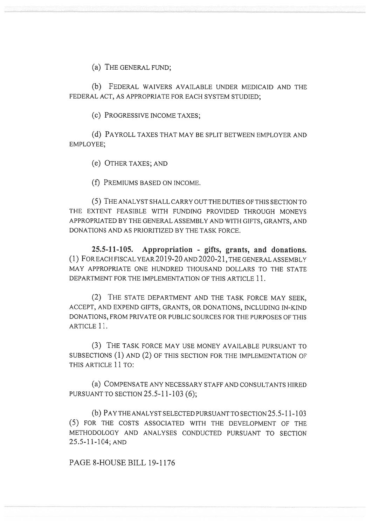(a) THE GENERAL FUND;

(b) FEDERAL WAIVERS AVAILABLE UNDER MEDICAID AND THE FEDERAL ACT, AS APPROPRIATE FOR EACH SYSTEM STUDIED;

(c) PROGRESSIVE INCOME TAXES;

(d) PAYROLL TAXES THAT MAY BE SPLIT BETWEEN EMPLOYER AND EMPLOYEE;

(e) OTHER TAXES; AND

(f) PREMIUMS BASED ON INCOME.

(5) THE ANALYST SHALL CARRY OUT THE DUTIES OF THIS SECTION TO THE EXTENT FEASIBLE WITH FUNDING PROVIDED THROUGH MONEYS APPROPRIATED BY THE GENERAL ASSEMBLY AND WITH GIFTS, GRANTS, AND DONATIONS AND AS PRIORITIZED BY THE TASK FORCE.

**25.5-11-105. Appropriation - gifts, grants, and donations.**  (1) FOR EACH FISCAL YEAR 2019-20 AND 2020-21, THE GENERAL ASSEMBLY MAY APPROPRIATE ONE HUNDRED THOUSAND DOLLARS TO THE STATE DEPARTMENT FOR THE IMPLEMENTATION OF THIS ARTICLE 11.

(2) THE STATE DEPARTMENT AND THE TASK FORCE MAY SEEK, ACCEPT, AND EXPEND GIFTS, GRANTS, OR DONATIONS, INCLUDING IN-KIND DONATIONS, FROM PRIVATE OR PUBLIC SOURCES FOR THE PURPOSES OF THIS ARTICLE 11.

(3) THE TASK FORCE MAY USE MONEY AVAILABLE PURSUANT TO SUBSECTIONS (1) AND (2) OF THIS SECTION FOR THE IMPLEMENTATION OF THIS ARTICLE 11 TO:

(a) COMPENSATE ANY NECESSARY STAFF AND CONSULTANTS HIRED PURSUANT TO SECTION 25.5-11-103 (6);

(b) PAY THE ANALYST SELECTED PURSUANT TO SECTION 25.5-11-103 (5) FOR THE COSTS ASSOCIATED WITH THE DEVELOPMENT OF THE METHODOLOGY AND ANALYSES CONDUCTED PURSUANT TO SECTION 25.5-11-104; AND

PAGE 8-HOUSE BILL 19-1176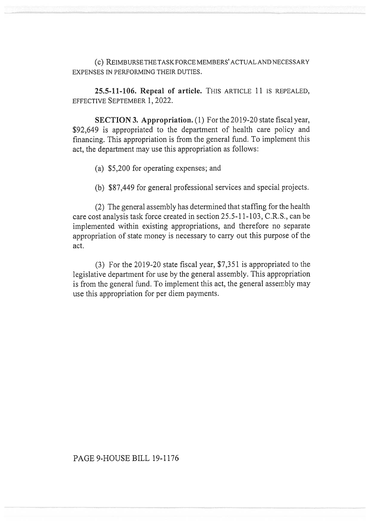(c) REIMBURSE THE TASK FORCE MEMBERS' ACTUAL AND NECESSARY EXPENSES IN PERFORMING THEIR DUTIES.

**25.5-11-106. Repeal of article.** THIS ARTICLE 11 IS REPEALED, EFFECTIVE SEPTEMBER 1, 2022.

**SECTION 3. Appropriation.** (1) For the 2019-20 state fiscal year, \$92,649 is appropriated to the department of health care policy and financing. This appropriation is from the general fund. To implement this act, the department may use this appropriation as follows:

- (a) \$5,200 for operating expenses; and
- (b) \$87,449 for general professional services and special projects.

(2) The general assembly has determined that staffing for the health care cost analysis task force created in section 25.5-11-103, C.R.S., can be implemented within existing appropriations, and therefore no separate appropriation of state money is necessary to carry out this purpose of the act.

(3) For the 2019-20 state fiscal year, \$7,351 is appropriated to the legislative department for use by the general assembly. This appropriation is from the general fund. To implement this act, the general assembly may use this appropriation for per diem payments.

## PAGE 9-HOUSE BILL 19-1176